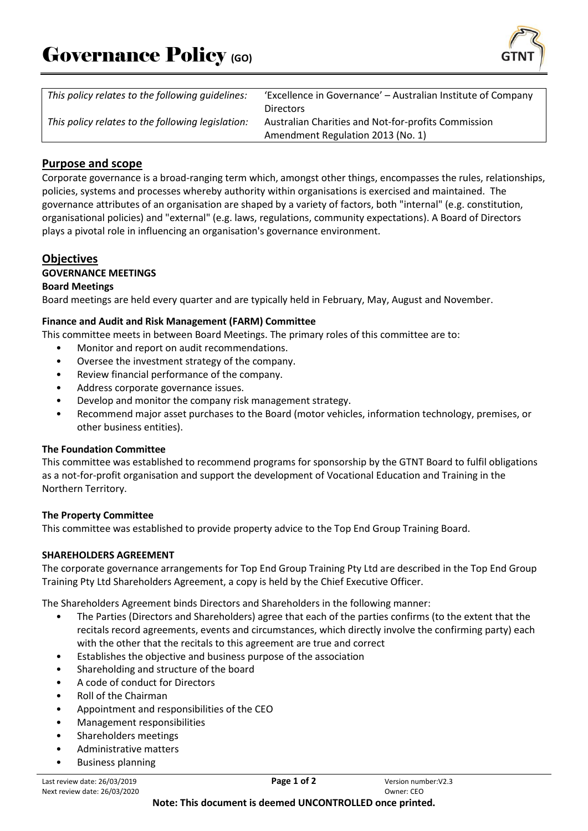

| This policy relates to the following quidelines:  | 'Excellence in Governance' – Australian Institute of Company |
|---------------------------------------------------|--------------------------------------------------------------|
|                                                   | <b>Directors</b>                                             |
| This policy relates to the following legislation: | Australian Charities and Not-for-profits Commission          |
|                                                   | Amendment Regulation 2013 (No. 1)                            |

# **Purpose and scope**

Corporate governance is a broad-ranging term which, amongst other things, encompasses the rules, relationships, policies, systems and processes whereby authority within organisations is exercised and maintained. The governance attributes of an organisation are shaped by a variety of factors, both "internal" (e.g. constitution, organisational policies) and "external" (e.g. laws, regulations, community expectations). A Board of Directors plays a pivotal role in influencing an organisation's governance environment.

## **Objectives**

## **GOVERNANCE MEETINGS**

### **Board Meetings**

Board meetings are held every quarter and are typically held in February, May, August and November.

### **Finance and Audit and Risk Management (FARM) Committee**

This committee meets in between Board Meetings. The primary roles of this committee are to:

- Monitor and report on audit recommendations.
- Oversee the investment strategy of the company.
- Review financial performance of the company.
- Address corporate governance issues.
- Develop and monitor the company risk management strategy.
- Recommend major asset purchases to the Board (motor vehicles, information technology, premises, or other business entities).

### **The Foundation Committee**

This committee was established to recommend programs for sponsorship by the GTNT Board to fulfil obligations as a not-for-profit organisation and support the development of Vocational Education and Training in the Northern Territory.

#### **The Property Committee**

This committee was established to provide property advice to the Top End Group Training Board.

#### **SHAREHOLDERS AGREEMENT**

The corporate governance arrangements for Top End Group Training Pty Ltd are described in the Top End Group Training Pty Ltd Shareholders Agreement, a copy is held by the Chief Executive Officer.

The Shareholders Agreement binds Directors and Shareholders in the following manner:

- The Parties (Directors and Shareholders) agree that each of the parties confirms (to the extent that the recitals record agreements, events and circumstances, which directly involve the confirming party) each with the other that the recitals to this agreement are true and correct
- Establishes the objective and business purpose of the association
- Shareholding and structure of the board
- A code of conduct for Directors
- Roll of the Chairman
- Appointment and responsibilities of the CEO
- Management responsibilities
- Shareholders meetings
- Administrative matters • Business planning